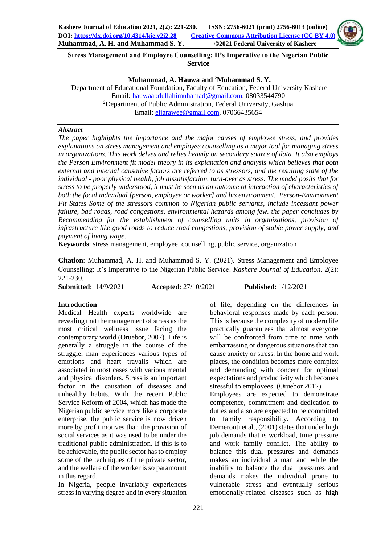

**Stress Management and Employee Counselling: It's Imperative to the Nigerian Public Service**

**<sup>1</sup>Muhammad, A. Hauwa and <sup>2</sup>Muhammad S. Y.**

<sup>1</sup>Department of Educational Foundation, Faculty of Education, Federal University Kashere Email[: hauwaabdullahimuhamad@gmail.com,](mailto:hauwaabdullahimuhamad@gmail.com) 08033544790 <sup>2</sup>Department of Public Administration, Federal University, Gashua Email: [eljarawee@gmail.com,](mailto:eljarawee@gmail.com) 07066435654

#### *Abstract*

*The paper highlights the importance and the major causes of employee stress, and provides explanations on stress management and employee counselling as a major tool for managing stress in organizations. This work delves and relies heavily on secondary source of data. It also employs the Person Environment fit model theory in its explanation and analysis which believes that both external and internal causative factors are referred to as stressors, and the resulting state of the individual - poor physical health, job dissatisfaction, turn-over as stress. The model posits that for stress to be properly understood, it must be seen as an outcome of interaction of characteristics of both the focal individual [person, employee or worker] and his environment. Person-Environment Fit States Some of the stressors common to Nigerian public servants, include incessant power failure, bad roads, road congestions, environmental hazards among few. the paper concludes by Recommending for the establishment of counselling units in organizations, provision of infrastructure like good roads to reduce road congestions, provision of stable power supply, and payment of living wage.*

**Keywords**: stress management, employee, counselling, public service, organization

**Citation**: Muhammad, A. H. and Muhammad S. Y. (2021). Stress Management and Employee Counselling: It's Imperative to the Nigerian Public Service. *Kashere Journal of Education*, 2(2): 221-230.

**Submitted**: 14/9/2021 **Accepted**: 27/10/2021 **Published**: 1/12/2021

#### **Introduction**

Medical Health experts worldwide are revealing that the management of stress as the most critical wellness issue facing the contemporary world (Oruebor, 2007). Life is generally a struggle in the course of the struggle, man experiences various types of emotions and heart travails which are associated in most cases with various mental and physical disorders. Stress is an important factor in the causation of diseases and unhealthy habits. With the recent Public Service Reform of 2004, which has made the Nigerian public service more like a corporate enterprise, the public service is now driven more by profit motives than the provision of social services as it was used to be under the traditional public administration. If this is to be achievable, the public sector has to employ some of the techniques of the private sector, and the welfare of the worker is so paramount in this regard.

In Nigeria, people invariably experiences stress in varying degree and in every situation

of life, depending on the differences in behavioral responses made by each person. This is because the complexity of modern life practically guarantees that almost everyone will be confronted from time to time with embarrassing or dangerous situations that can cause anxiety or stress. In the home and work places, the condition becomes more complex and demanding with concern for optimal expectations and productivity which becomes stressful to employees. (Oruebor 2012) Employees are expected to demonstrate competence, commitment and dedication to duties and also are expected to be committed to family responsibility. According to Demerouti et al., (2001) states that under high job demands that is workload, time pressure and work family conflict. The ability to balance this dual pressures and demands makes an individual a man and while the inability to balance the dual pressures and demands makes the individual prone to vulnerable stress and eventually serious emotionally-related diseases such as high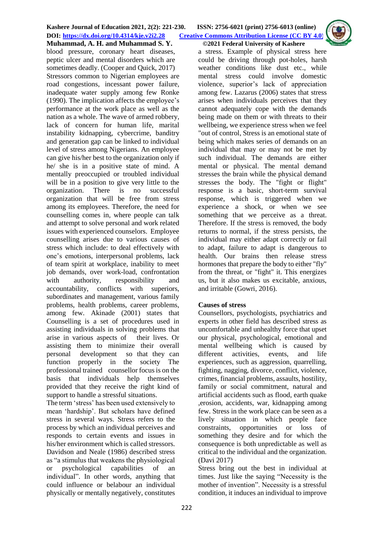

**Muhammad, A. H. and Muhammad S. Y. ©2021 Federal University of Kashere** blood pressure, coronary heart diseases, peptic ulcer and mental disorders which are sometimes deadly. (Cooper and Quick, 2017) Stressors common to Nigerian employees are road congestions, incessant power failure, inadequate water supply among few Ronke (1990). The implication affects the employee's performance at the work place as well as the nation as a whole. The wave of armed robbery, lack of concern for human life, marital instability kidnapping, cybercrime, banditry and generation gap can be linked to individual level of stress among Nigerians. An employee can give his/her best to the organization only if he/ she is in a positive state of mind. A mentally preoccupied or troubled individual will be in a position to give very little to the organization. There is no successful organization that will be free from stress among its employees. Therefore, the need for counselling comes in, where people can talk and attempt to solve personal and work related issues with experienced counselors. Employee counselling arises due to various causes of stress which include: to deal effectively with one's emotions, interpersonal problems, lack of team spirit at workplace, inability to meet job demands, over work-load, confrontation with authority, responsibility and accountability, conflicts with superiors, subordinates and management, various family problems, health problems, career problems, among few. Akinade (2001) states that Counselling is a set of procedures used in assisting individuals in solving problems that arise in various aspects of their lives. Or assisting them to minimize their overall personal development so that they can function properly in the society The professional trained counsellor focus is on the basis that individuals help themselves provided that they receive the right kind of support to handle a stressful situations.

The term 'stress' has been used extensively to mean 'hardship'. But scholars have defined stress in several ways. Stress refers to the process by which an individual perceives and responds to certain events and issues in his/her environment which is called stressors. Davidson and Neale (1986) described stress as "a stimulus that weakens the physiological or psychological capabilities of an individual". In other words, anything that could influence or belabour an individual physically or mentally negatively, constitutes a stress. Example of physical stress here could be driving through pot-holes, harsh weather conditions like dust etc., while mental stress could involve domestic violence, superior's lack of appreciation among few. Lazarus (2006) states that stress arises when individuals perceives that they cannot adequately cope with the demands being made on them or with threats to their wellbeing, we experience stress when we feel "out of control, Stress is an emotional state of being which makes series of demands on an individual that may or may not be met by such individual. The demands are either mental or physical. The mental demand stresses the brain while the physical demand stresses the body. The "fight or flight" response is a basic, short-term survival response, which is triggered when we experience a shock, or when we see something that we perceive as a threat. Therefore. If the stress is removed, the body returns to normal, if the stress persists, the individual may either adapt correctly or fail to adapt, failure to adapt is dangerous to health. Our brains then release stress hormones that prepare the body to either "fly" from the threat, or "fight" it. This energizes us, but it also makes us excitable, anxious, and irritable (Gowri, 2016).

# **Causes of stress**

Counsellors, psychologists, psychiatrics and experts in other field has described stress as uncomfortable and unhealthy force that upset our physical, psychological, emotional and mental wellbeing which is caused by different activities, events, and life experiences, such as aggression, quarrelling, fighting, nagging, divorce, conflict, violence, crimes, financial problems, assaults, hostility, family or social commitment, natural and artificial accidents such as flood, earth quake ,erosion, accidents, war, kidnapping among few. Stress in the work place can be seen as a lively situation in which people face constraints, opportunities or loss of something they desire and for which the consequence is both unpredictable as well as critical to the individual and the organization. (Davi 2017)

Stress bring out the best in individual at times. Just like the saying "Necessity is the mother of invention". Necessity is a stressful condition, it induces an individual to improve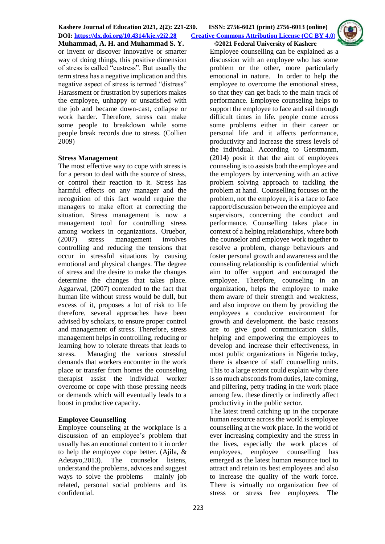**DOI: <https://dx.doi.org/10.4314/kje.v2i2.28> [Creative Commons Attribution License](http://creativecommons.org/licenses/by/4.0/) (CC BY 4.0)** 



**Muhammad, A. H. and Muhammad S. Y. ©2021 Federal University of Kashere** or invent or discover innovative or smarter way of doing things, this positive dimension of stress is called "eustress". But usually the term stress has a negative implication and this negative aspect of stress is termed "distress" Harassment or frustration by superiors makes the employee, unhappy or unsatisfied with the job and became down-cast, collapse or work harder. Therefore, stress can make some people to breakdown while some people break records due to stress. (Collien 2009)

#### **Stress Management**

The most effective way to cope with stress is for a person to deal with the source of stress, or control their reaction to it. Stress has harmful effects on any manager and the recognition of this fact would require the managers to make effort at correcting the situation. Stress management is now a management tool for controlling stress among workers in organizations. Oruebor, (2007) stress management involves controlling and reducing the tensions that occur in stressful situations by causing emotional and physical changes. The degree of stress and the desire to make the changes determine the changes that takes place. Aggarwal, (2007) contended to the fact that human life without stress would be dull, but excess of it, proposes a lot of risk to life therefore, several approaches have been advised by scholars, to ensure proper control and management of stress. Therefore, stress management helps in controlling, reducing or learning how to tolerate threats that leads to stress. Managing the various stressful demands that workers encounter in the work place or transfer from homes the counseling therapist assist the individual worker overcome or cope with those pressing needs or demands which will eventually leads to a boost in productive capacity.

### **Employee Counselling**

Employee counseling at the workplace is a discussion of an employee's problem that usually has an emotional content to it in order to help the employee cope better. (Ajila, & Adetayo, 2013). The counselor listens, understand the problems, advices and suggest ways to solve the problems mainly job related, personal social problems and its confidential.

Employee counselling can be explained as a discussion with an employee who has some problem or the other, more particularly emotional in nature. In order to help the employee to overcome the emotional stress, so that they can get back to the main track of performance. Employee counseling helps to support the employee to face and sail through difficult times in life. people come across some problems either in their career or personal life and it affects performance, productivity and increase the stress levels of the individual. According to Gerstmanm, (2014) posit it that the aim of employees counseling is to assists both the employee and the employers by intervening with an active problem solving approach to tackling the problem at hand. Counselling focuses on the problem, not the employee, it is a face to face rapport/discussion between the employee and supervisors, concerning the conduct and performance. Counselling takes place in context of a helping relationships, where both the counselor and employee work together to resolve a problem, change behaviours and foster personal growth and awareness and the counseling relationship is confidential which aim to offer support and encouraged the employee. Therefore, counseling in an organization, helps the employee to make them aware of their strength and weakness, and also improve on them by providing the employees a conducive environment for growth and development. the basic reasons are to give good communication skills, helping and empowering the employees to develop and increase their effectiveness, in most public organizations in Nigeria today, there is absence of staff counselling units. This to a large extent could explain why there is so much absconds from duties, late coming, and pilfering, petty trading in the work place among few. these directly or indirectly affect productivity in the public sector.

The latest trend catching up in the corporate human resource across the world is employee counselling at the work place. In the world of ever increasing complexity and the stress in the lives, especially the work places of employees, employee counselling has emerged as the latest human resource tool to attract and retain its best employees and also to increase the quality of the work force. There is virtually no organization free of stress or stress free employees. The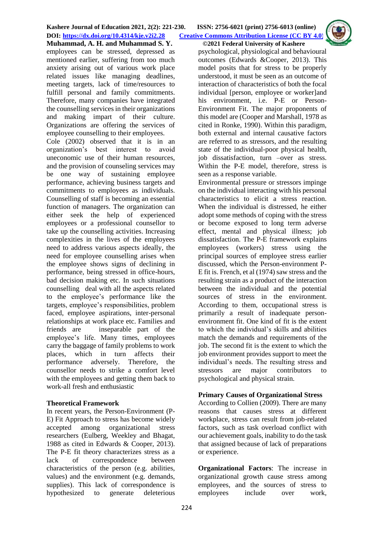**Muhammad, A. H. and Muhammad S. Y. ©2021 Federal University of Kashere** employees can be stressed, depressed as mentioned earlier, suffering from too much anxiety arising out of various work place related issues like managing deadlines, meeting targets, lack of time/resources to fulfill personal and family commitments. Therefore, many companies have integrated the counselling services in their organizations and making impart of their culture. Organizations are offering the services of employee counselling to their employees.

Cole (2002) observed that it is in an organization's best interest to avoid uneconomic use of their human resources, and the provision of counseling services may be one way of sustaining employee performance, achieving business targets and commitments to employees as individuals. Counselling of staff is becoming an essential function of managers. The organization can either seek the help of experienced employees or a professional counsellor to take up the counselling activities. Increasing complexities in the lives of the employees need to address various aspects ideally, the need for employee counselling arises when the employee shows signs of declining in performance, being stressed in office-hours, bad decision making etc. In such situations counselling deal with all the aspects related to the employee's performance like the targets, employee's responsibilities, problem faced, employee aspirations, inter-personal relationships at work place etc. Families and friends are inseparable part of the employee's life. Many times, employees carry the baggage of family problems to work places, which in turn affects their performance adversely. Therefore, the counsellor needs to strike a comfort level with the employees and getting them back to work-all fresh and enthusiastic

### **Theoretical Framework**

In recent years, the Person-Environment (P-E) Fit Approach to stress has become widely accepted among organizational stress researchers (Eulberg, Weekley and Bhagat, 1988 as cited in Edwards & Cooper, 2013). The P-E fit theory characterizes stress as a lack of correspondence between characteristics of the person (e.g. abilities, values) and the environment (e.g. demands, supplies). This lack of correspondence is hypothesized to generate deleterious

psychological, physiological and behavioural outcomes (Edwards &Cooper, 2013). This model posits that for stress to be properly understood, it must be seen as an outcome of interaction of characteristics of both the focal individual [person, employee or worker]and his environment, i.e. P-E or Person-Environment Fit. The major proponents of this model are (Cooper and Marshall, 1978 as cited in Ronke, 1990). Within this paradigm, both external and internal causative factors are referred to as stressors, and the resulting state of the individual-poor physical health, job dissatisfaction, turn –over as stress. Within the P-E model, therefore, stress is seen as a response variable.

Environmental pressure or stressors impinge on the individual interacting with his personal characteristics to elicit a stress reaction. When the individual is distressed, he either adopt some methods of coping with the stress or become exposed to long term adverse effect, mental and physical illness; job dissatisfaction. The P-E framework explains employees (workers) stress using the principal sources of employee stress earlier discussed, which the Person-environment P-E fit is. French, et al (1974) saw stress and the resulting strain as a product of the interaction between the individual and the potential sources of stress in the environment. According to them, occupational stress is primarily a result of inadequate personenvironment fit. One kind of fit is the extent to which the individual's skills and abilities match the demands and requirements of the job. The second fit is the extent to which the job environment provides support to meet the individual's needs. The resulting stress and stressors are major contributors to psychological and physical strain.

### **Primary Causes of Organizational Stress**

According to Collien (2009). There are many reasons that causes stress at different workplace, stress can result from job-related factors, such as task overload conflict with our achievement goals, inability to do the task that assigned because of lack of preparations or experience.

**Organizational Factors**: The increase in organizational growth cause stress among employees, and the sources of stress to employees include over work,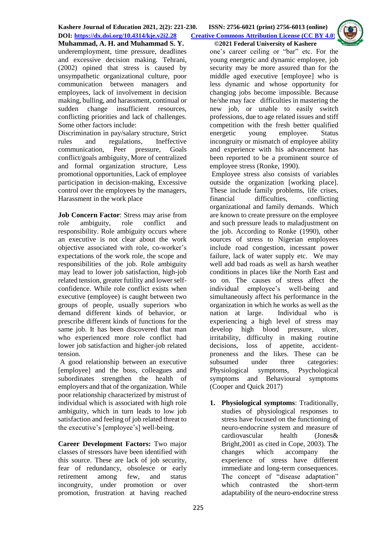**DOI: <https://dx.doi.org/10.4314/kje.v2i2.28> [Creative Commons Attribution License](http://creativecommons.org/licenses/by/4.0/) (CC BY 4.0)** 



**Muhammad, A. H. and Muhammad S. Y. ©2021 Federal University of Kashere** underemployment, time pressure, deadlines and excessive decision making. Tehrani, (2002) opined that stress is caused by unsympathetic organizational culture, poor communication between managers and employees, lack of involvement in decision making, bulling, and harassment, continual or sudden change insufficient resources, conflicting priorities and lack of challenges. Some other factors include:

Discrimination in pay/salary structure, Strict rules and regulations, Ineffective communication, Peer pressure, Goals conflict/goals ambiguity, More of centralized and formal organization structure, Less promotional opportunities, Lack of employee participation in decision-making, Excessive control over the employees by the managers, Harassment in the work place

**Job Concern Factor**: Stress may arise from role ambiguity, role conflict and responsibility. Role ambiguity occurs where an executive is not clear about the work objective associated with role, co-worker's expectations of the work role, the scope and responsibilities of the job. Role ambiguity may lead to lower job satisfaction, high-job related tension, greater futility and lower selfconfidence. While role conflict exists when executive (employee) is caught between two groups of people, usually superiors who demand different kinds of behavior, or prescribe different kinds of functions for the same job. It has been discovered that man who experienced more role conflict had lower job satisfaction and higher-job related tension.

A good relationship between an executive [employee] and the boss, colleagues and subordinates strengthen the health of employers and that of the organization. While poor relationship characterized by mistrust of individual which is associated with high role ambiguity, which in turn leads to low job satisfaction and feeling of job related threat to the executive's [employee's] well-being.

**Career Development Factors:** Two major classes of stressors have been identified with this source. These are lack of job security, fear of redundancy, obsolesce or early retirement among few, and status incongruity, under promotion or over promotion, frustration at having reached

one's career ceiling or "bar" etc. For the young energetic and dynamic employee, job security may be more assured than for the middle aged executive [employee] who is less dynamic and whose opportunity for changing jobs become impossible. Because he/she may face difficulties in mastering the new job, or unable to easily switch professions, due to age related issues and stiff competition with the fresh better qualified energetic young employee. Status incongruity or mismatch of employee ability and experience with his advancement has been reported to be a prominent source of employee stress (Ronke, 1990).

Employee stress also consists of variables outside the organization [working place]. These include family problems, life crises, financial difficulties, conflicting organizational and family demands. Which are known to create pressure on the employee and such pressure leads to maladjustment on the job. According to Ronke (1990), other sources of stress to Nigerian employees include road congestion, incessant power failure, lack of water supply etc. We may well add bad roads as well as harsh weather conditions in places like the North East and so on. The causes of stress affect the individual employee's well-being and simultaneously affect his performance in the organization in which he works as well as the nation at large. Individual who is experiencing a high level of stress may develop high blood pressure, ulcer, irritability, difficulty in making routine decisions, loss of appetite, accidentproneness and the likes. These can be subsumed under three categories: Physiological symptoms, Psychological symptoms and Behavioural symptoms (Cooper and Quick 2017)

**1. Physiological symptoms**: Traditionally, studies of physiological responses to stress have focused on the functioning of neuro-endocrine system and measure of cardiovascular health (Jones& Bright,2001 as cited in Cope, 2003). The changes which accompany the experience of stress have different immediate and long-term consequences. The concept of "disease adaptation" which contrasted the short-term adaptability of the neuro-endocrine stress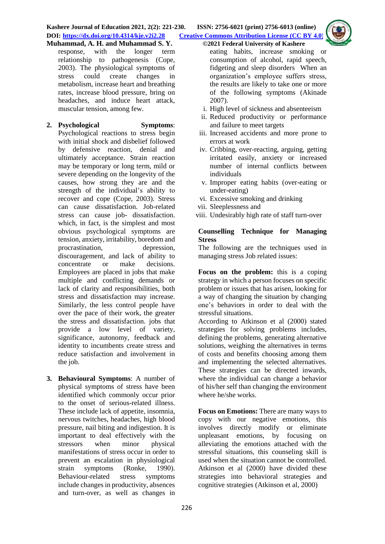- response, with the longer term relationship to pathogenesis (Cope, 2003). The physiological symptoms of stress could create changes in metabolism, increase heart and breathing rates, increase blood pressure, bring on headaches, and induce heart attack, muscular tension, among few.
- **2. Psychological Symptoms**: Psychological reactions to stress begin with initial shock and disbelief followed by defensive reaction, denial and ultimately acceptance. Strain reaction may be temporary or long term, mild or severe depending on the longevity of the causes, how strong they are and the strength of the individual's ability to recover and cope (Cope, 2003). Stress can cause dissatisfaction. Job-related stress can cause job- dissatisfaction. which, in fact, is the simplest and most obvious psychological symptoms are tension, anxiety, irritability, boredom and procrastination, depression, discouragement, and lack of ability to concentrate or make decisions. Employees are placed in jobs that make multiple and conflicting demands or lack of clarity and responsibilities, both stress and dissatisfaction may increase. Similarly, the less control people have over the pace of their work, the greater the stress and dissatisfaction. jobs that provide a low level of variety, significance, autonomy, feedback and identity to incumbents create stress and reduce satisfaction and involvement in the job.
- **3. Behavioural Symptoms**: A number of physical symptoms of stress have been identified which commonly occur prior to the onset of serious-related illness. These include lack of appetite, insomnia, nervous twitches, headaches, high blood pressure, nail biting and indigestion. It is important to deal effectively with the stressors when minor physical manifestations of stress occur in order to prevent an escalation in physiological strain symptoms (Ronke, 1990). Behaviour-related stress symptoms include changes in productivity, absences and turn-over, as well as changes in
- eating habits, increase smoking or consumption of alcohol, rapid speech, fidgeting and sleep disorders When an organization's employee suffers stress, the results are likely to take one or more of the following symptoms (Akinade 2007).
- i. High level of sickness and absenteeism
- ii. Reduced productivity or performance and failure to meet targets
- iii. Increased accidents and more prone to errors at work
- iv. Cribbing, over-reacting, arguing, getting irritated easily, anxiety or increased number of internal conflicts between individuals
- v. Improper eating habits (over-eating or under-eating)
- vi. Excessive smoking and drinking
- vii. Sleeplessness and
- viii. Undesirably high rate of staff turn-over

### **Counselling Technique for Managing Stress**

The following are the techniques used in managing stress Job related issues:

**Focus on the problem:** this is a coping strategy in which a person focuses on specific problem or issues that has arisen, looking for a way of changing the situation by changing one's behaviors in order to deal with the stressful situations.

According to Atkinson et al (2000) stated strategies for solving problems includes, defining the problems, generating alternative solutions, weighing the alternatives in terms of costs and benefits choosing among them and implementing the selected alternatives. These strategies can be directed inwards, where the individual can change a behavior of his/her self than changing the environment where he/she works.

**Focus on Emotions:** There are many ways to copy with our negative emotions, this involves directly modify or eliminate unpleasant emotions, by focusing on alleviating the emotions attached with the stressful situations, this counseling skill is used when the situation cannot be controlled. Atkinson et al (2000) have divided these strategies into behavioral strategies and cognitive strategies (Atkinson et al, 2000)

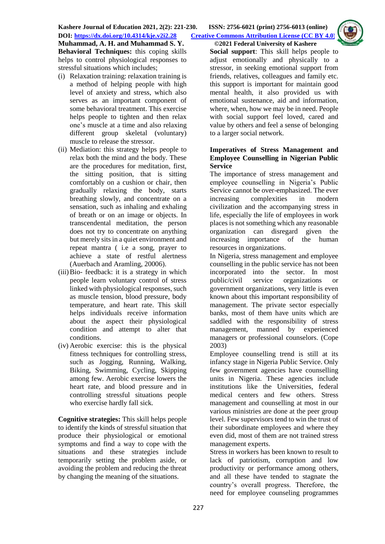**Muhammad, A. H. and Muhammad S. Y. ©2021 Federal University of Kashere Behavioral Techniques:** this coping skills helps to control physiological responses to stressful situations which includes;

- (i) Relaxation training: relaxation training is a method of helping people with high level of anxiety and stress, which also serves as an important component of some behavioral treatment. This exercise helps people to tighten and then relax one's muscle at a time and also relaxing different group skeletal (voluntary) muscle to release the stressor.
- (ii) Mediation: this strategy helps people to relax both the mind and the body. These are the procedures for meditation, first, the sitting position, that is sitting comfortably on a cushion or chair, then gradually relaxing the body, starts breathing slowly, and concentrate on a sensation, such as inhaling and exhaling of breath or on an image or objects. In transcendental meditation, the person does not try to concentrate on anything but merely sits in a quiet environment and repeat mantra ( i.e a song, prayer to achieve a state of restful alertness (Auerbach and Aramling, 20006).
- (iii)Bio- feedback: it is a strategy in which people learn voluntary control of stress linked with physiological responses, such as muscle tension, blood pressure, body temperature, and heart rate. This skill helps individuals receive information about the aspect their physiological condition and attempt to alter that conditions.
- (iv) Aerobic exercise: this is the physical fitness techniques for controlling stress, such as Jogging, Running, Walking, Biking, Swimming, Cycling, Skipping among few. Aerobic exercise lowers the heart rate, and blood pressure and in controlling stressful situations people who exercise hardly fall sick.

**Cognitive strategies:** This skill helps people to identify the kinds of stressful situation that produce their physiological or emotional symptoms and find a way to cope with the situations and these strategies include temporarily setting the problem aside, or avoiding the problem and reducing the threat by changing the meaning of the situations.



**Social support**: This skill helps people to adjust emotionally and physically to a stressor, in seeking emotional support from friends, relatives, colleagues and family etc. this support is important for maintain good mental health, it also provided us with emotional sustenance, aid and information, where, when, how we may be in need. People with social support feel loved, cared and value by others and feel a sense of belonging to a larger social network.

#### **Imperatives of Stress Management and Employee Counselling in Nigerian Public Service**

The importance of stress management and employee counselling in Nigeria's Public Service cannot be over-emphasized. The ever increasing complexities in modern civilization and the accompanying stress in life, especially the life of employees in work places is not something which any reasonable organization can disregard given the increasing importance of the human resources in organizations.

In Nigeria, stress management and employee counselling in the public service has not been incorporated into the sector. In most public/civil service organizations or government organizations, very little is even known about this important responsibility of management. The private sector especially banks, most of them have units which are saddled with the responsibility of stress management, manned by experienced managers or professional counselors. (Cope 2003)

Employee counselling trend is still at its infancy stage in Nigeria Public Service. Only few government agencies have counselling units in Nigeria. These agencies include institutions like the Universities, federal medical centers and few others. Stress management and counselling at most in our various ministries are done at the peer group level. Few supervisors tend to win the trust of their subordinate employees and where they even did, most of them are not trained stress management experts.

Stress in workers has been known to result to lack of patriotism, corruption and low productivity or performance among others, and all these have tended to stagnate the country's overall progress. Therefore, the need for employee counseling programmes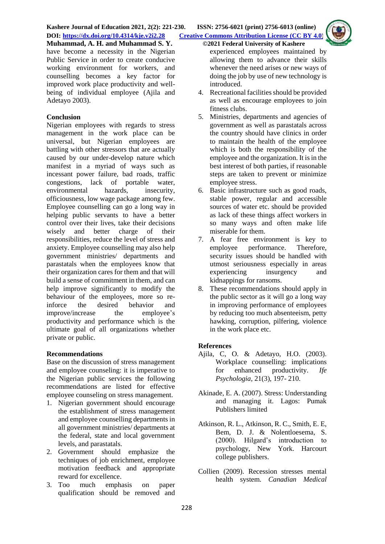

have become a necessity in the Nigerian Public Service in order to create conducive working environment for workers, and counselling becomes a key factor for improved work place productivity and wellbeing of individual employee (Ajila and Adetayo 2003).

## **Conclusion**

Nigerian employees with regards to stress management in the work place can be universal, but Nigerian employees are battling with other stressors that are actually caused by our under-develop nature which manifest in a myriad of ways such as incessant power failure, bad roads, traffic congestions, lack of portable water, environmental hazards, insecurity, officiousness, low wage package among few. Employee counselling can go a long way in helping public servants to have a better control over their lives, take their decisions wisely and better charge of their responsibilities, reduce the level of stress and anxiety. Employee counselling may also help government ministries/ departments and parastatals when the employees know that their organization cares for them and that will build a sense of commitment in them, and can help improve significantly to modify the behaviour of the employees, more so reinforce the desired behavior and improve/increase the employee's productivity and performance which is the ultimate goal of all organizations whether private or public.

### **Recommendations**

Base on the discussion of stress management and employee counseling: it is imperative to the Nigerian public services the following recommendations are listed for effective employee counseling on stress management.

- 1. Nigerian government should encourage the establishment of stress management and employee counselling departments in all government ministries/ departments at the federal, state and local government levels, and parastatals.
- 2. Government should emphasize the techniques of job enrichment, employee motivation feedback and appropriate reward for excellence.
- 3. Too much emphasis on paper qualification should be removed and
- experienced employees maintained by allowing them to advance their skills whenever the need arises or new ways of doing the job by use of new technology is
- introduced. 4. Recreational facilities should be provided as well as encourage employees to join fitness clubs.
- 5. Ministries, departments and agencies of government as well as parastatals across the country should have clinics in order to maintain the health of the employee which is both the responsibility of the employee and the organization. It is in the best interest of both parties, if reasonable steps are taken to prevent or minimize employee stress.
- 6. Basic infrastructure such as good roads, stable power, regular and accessible sources of water etc. should be provided as lack of these things affect workers in so many ways and often make life miserable for them.
- 7. A fear free environment is key to employee performance. Therefore, security issues should be handled with utmost seriousness especially in areas experiencing insurgency and kidnappings for ransoms.
- 8. These recommendations should apply in the public sector as it will go a long way in improving performance of employees by reducing too much absenteeism, petty hawking, corruption, pilfering, violence in the work place etc.

### **References**

- Ajila, C, O. & Adetayo, H.O. (2003). Workplace counselling: implications for enhanced productivity. *Ife Psychologia*, 21(3), 197- 210.
- Akinade, E. A. (2007). Stress: Understanding and managing it. Lagos: Pumak Publishers limited
- Atkinson, R. L., Atkinson, R. C., Smith, E. E, Bem, D. J. & Nolentloesema, S. (2000). Hilgard's introduction to psychology, New York. Harcourt college publishers.
- Collien (2009). Recession stresses mental health system. *Canadian Medical*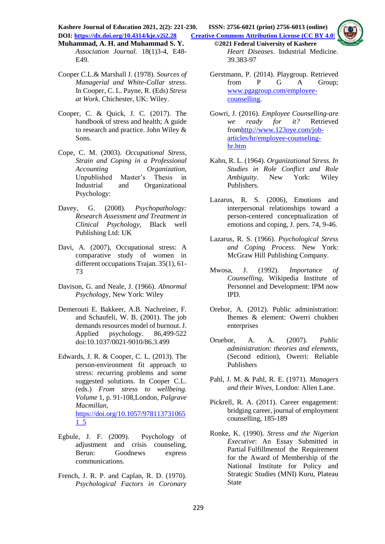**Kashere Journal of Education 2021, 2(2): 221-230. ISSN: 2756-6021 (print) 2756-6013 (online) DOI: <https://dx.doi.org/10.4314/kje.v2i2.28> [Creative Commons Attribution License](http://creativecommons.org/licenses/by/4.0/) (CC BY 4.0)** 

**Muhammad, A. H. and Muhammad S. Y. ©2021 Federal University of Kashere** *Association Journal.* 18(1)3-4, E48- E49.

- Cooper C.L.& Marshall J. (1978). *Sources of Managerial and White-Collar stress*. In Cooper, C. L. Payne, R. (Eds) *Stress at Work*. Chichester, UK: Wiley.
- Cooper, C. & Quick, J. C. (2017). The handbook of stress and health; A guide to research and practice. John Wiley & Sons.
- Cope, C. M. (2003). *Occupational Stress, Strain and Coping in a Professional Accounting Organization*, Unpublished Master's Thesis in Industrial and Organizational Psychology:
- Davey, G. (2008). *Psychopathology: Research Assessment and Treatment in Clinical Psychology*, Black well Publishing Ltd: UK
- Davi, A. (2007), Occupational stress: A comparative study of women in different occupations Trajan. 35(1), 61- 73
- Davison, G. and Neale, J. (1966). *Abnormal Psycholog*y, New York: Wiley
- Demerouti E. Bakkeer, A.B. Nachreiner, F. and Schaufeli, W. B. (2001). The job demands resources model of burnout. J. Applied psychology. 86,499-522 doi:10.1037/0021-9010/86.3.499
- Edwards, J. R. & Cooper, C. L. (2013). The person-environment fit approach to stress: recurring problems and some suggested solutions. In Cooper C.L. (eds.) *From stress to wellbeing. Volume* 1, p. 91-108,London, *Palgrave Macmillan,* [https://doi.org/10.1057/978113731065](https://doi.org/10.1057/9781137310651_5) [1\\_5](https://doi.org/10.1057/9781137310651_5)
- Egbule, J. F. (2009). Psychology of adjustment and crisis counseling, Berun: Goodnews express communications.
- French, J. R. P. and Caplan, R. D. (1970). *Psychological Factors in Coronary*

*Heart Diseases*. Industrial Medicine. 39.383-97

- Gerstmann, P. (2014). Playgroup. Retrieved from P G A Group; [www.pgagroup.com/employee](http://www.pgagroup.com/employee-counselling)[counselling.](http://www.pgagroup.com/employee-counselling)
- Gowri, J. (2016). *Employee Counselling-are we ready for it?* Retrieved fro[mhttp://www.123oye.com/job](http://www.123oye.com/job-articles/hr/employee-counseling-hr.htm)[articles/hr/employee-counseling](http://www.123oye.com/job-articles/hr/employee-counseling-hr.htm)[hr.htm](http://www.123oye.com/job-articles/hr/employee-counseling-hr.htm)
- Kahn, R. L. (1964). *Organizational Stress. In Studies in Role Conflict and Role Ambiguity*. New York: Wiley Publishers.
- Lazarus, R. S. (2006), Emotions and interpersonal relationships toward a person-centered conceptualization of emotions and coping, J. pers. 74, 9-46.
- Lazarus, R. S. (1966). *Psychological Stress and Coping Process*. New York: McGraw Hill Publishing Company.
- Mwosa, J. (1992). *Importance of Counselling,* Wikipedia Institute of Personnel and Development: IPM now IPD.
- Orebor, A. (2012). Public administration: Ihemes & element: Owerri chukben enterprises
- Oruebor, A. A. (2007). *Public administration: theories and elements,* (Second edition), Owerri: Reliable Publishers
- Pahl, J. M. & Pahl, R. E. (1971). *Managers and their Wives*, London: Allen Lane.
- Pickrell, R. A. (2011). Career engagement: bridging career, journal of employment counselling, 185-189
- Ronke, K. (1990). *Stress and the Nigerian Executive*: An Essay Submitted in Partial Fulfillmentof the Requirement for the Award of Membership of the National Institute for Policy and Strategic Studies (MNI) Kuru, Plateau State